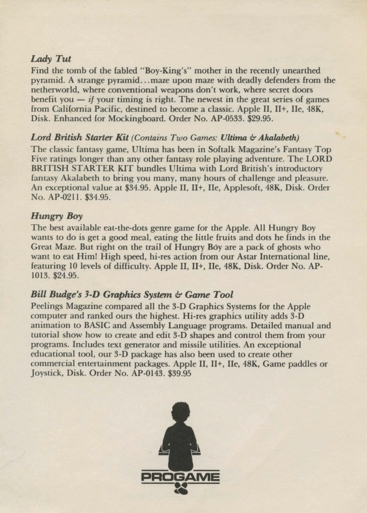## *Lady Tut*

Find the tomb of the fabled "Boy-King's" mother in the recently unearthed pyramid. A strange pyramid .. . maze upon maze with deadly defenders from the netherworld, where conventional weapons don't work, where secret doors benefit you  $-$  if your timing is right. The newest in the great series of games from California Pacific, destined to become a classic. Apple II, II+, Ile, 48K, Disk. Enhanced for Mockingboard. Order No. AP-0533. \$29.95.

#### *Lord British Starter Kit (Contains Two Games: Ultima & Akalabeth)*

The classic fantasy game, Ultima has been in Softalk Magazine's Fantasy Top Five ratings longer than any other fantasy role playing adventure. The LORD BRITISH STARTER KIT bundles Ultima with Lord British's introductory fantasy Akalabeth to bring you many, many hours of challenge and pleasure. An exceptional value at \$34.95. Apple II, II+, Ile, Applesoft, 48K, Disk. Order No. AP-0211. \$34.95.

## *Hungry Boy*

The best available eat-the-dots genre game for the Apple. All Hungry Boy wants to do is get a good meal, eating the little fruits and dots he finds in the Great Maze. But right on the trail of Hungry Boy are a pack of ghosts who want to eat Him! High speed, hi-res action from our Astar International line, featuring 10 levels of difficulty, Apple II, II+, Ile, 48K, Disk. Order No. AP-1013. \$24.95.

# **Bill Budge's 3-D Graphics System & Game Tool**

Peelings Magazine compared all the 3-D Graphics Systems for the Apple computer and ranked ours the highest. Hi-res graphics utility adds 3-D animation to BASIC and Assembly Language programs. Detailed manual and tutorial show how to create and edit 3-D shapes and control them from your programs. Includes text generator and missile utilities. An exceptional educational tool, our 3-D package has also been used to create other commercial entertainment packages. Apple II, II+, Ile, 48K, Game paddles or Joystick, Disk. Order No. AP-0143. \$39.95